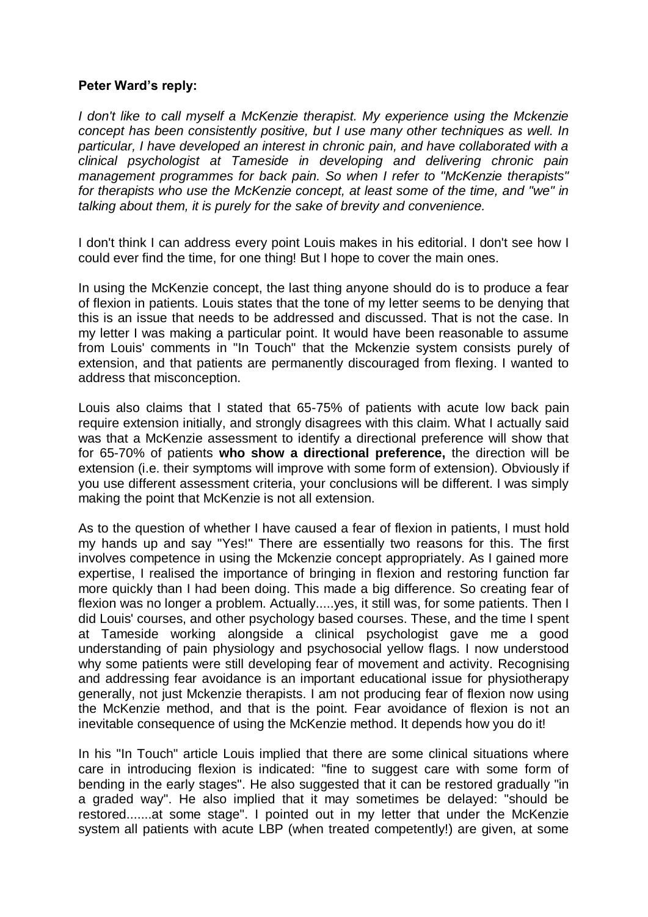## **Peter Ward's reply:**

*I don't like to call myself a McKenzie therapist. My experience using the Mckenzie concept has been consistently positive, but I use many other techniques as well. In particular, I have developed an interest in chronic pain, and have collaborated with a clinical psychologist at Tameside in developing and delivering chronic pain management programmes for back pain. So when I refer to "McKenzie therapists" for therapists who use the McKenzie concept, at least some of the time, and "we" in talking about them, it is purely for the sake of brevity and convenience.*

I don't think I can address every point Louis makes in his editorial. I don't see how I could ever find the time, for one thing! But I hope to cover the main ones.

In using the McKenzie concept, the last thing anyone should do is to produce a fear of flexion in patients. Louis states that the tone of my letter seems to be denying that this is an issue that needs to be addressed and discussed. That is not the case. In my letter I was making a particular point. It would have been reasonable to assume from Louis' comments in "In Touch" that the Mckenzie system consists purely of extension, and that patients are permanently discouraged from flexing. I wanted to address that misconception.

Louis also claims that I stated that 65-75% of patients with acute low back pain require extension initially, and strongly disagrees with this claim. What I actually said was that a McKenzie assessment to identify a directional preference will show that for 65-70% of patients **who show a directional preference,** the direction will be extension (i.e. their symptoms will improve with some form of extension). Obviously if you use different assessment criteria, your conclusions will be different. I was simply making the point that McKenzie is not all extension.

As to the question of whether I have caused a fear of flexion in patients, I must hold my hands up and say "Yes!" There are essentially two reasons for this. The first involves competence in using the Mckenzie concept appropriately. As I gained more expertise, I realised the importance of bringing in flexion and restoring function far more quickly than I had been doing. This made a big difference. So creating fear of flexion was no longer a problem. Actually.....yes, it still was, for some patients. Then I did Louis' courses, and other psychology based courses. These, and the time I spent at Tameside working alongside a clinical psychologist gave me a good understanding of pain physiology and psychosocial yellow flags. I now understood why some patients were still developing fear of movement and activity. Recognising and addressing fear avoidance is an important educational issue for physiotherapy generally, not just Mckenzie therapists. I am not producing fear of flexion now using the McKenzie method, and that is the point. Fear avoidance of flexion is not an inevitable consequence of using the McKenzie method. It depends how you do it!

In his "In Touch" article Louis implied that there are some clinical situations where care in introducing flexion is indicated: "fine to suggest care with some form of bending in the early stages". He also suggested that it can be restored gradually "in a graded way". He also implied that it may sometimes be delayed: "should be restored.......at some stage". I pointed out in my letter that under the McKenzie system all patients with acute LBP (when treated competently!) are given, at some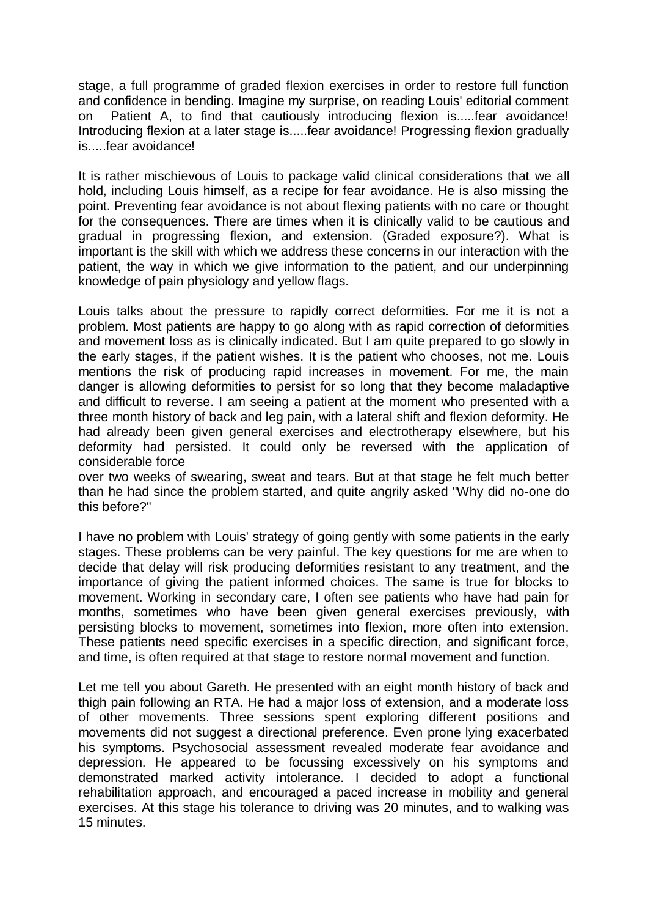stage, a full programme of graded flexion exercises in order to restore full function and confidence in bending. Imagine my surprise, on reading Louis' editorial comment on Patient A, to find that cautiously introducing flexion is.....fear avoidance! Introducing flexion at a later stage is.....fear avoidance! Progressing flexion gradually is.....fear avoidance!

It is rather mischievous of Louis to package valid clinical considerations that we all hold, including Louis himself, as a recipe for fear avoidance. He is also missing the point. Preventing fear avoidance is not about flexing patients with no care or thought for the consequences. There are times when it is clinically valid to be cautious and gradual in progressing flexion, and extension. (Graded exposure?). What is important is the skill with which we address these concerns in our interaction with the patient, the way in which we give information to the patient, and our underpinning knowledge of pain physiology and yellow flags.

Louis talks about the pressure to rapidly correct deformities. For me it is not a problem. Most patients are happy to go along with as rapid correction of deformities and movement loss as is clinically indicated. But I am quite prepared to go slowly in the early stages, if the patient wishes. It is the patient who chooses, not me. Louis mentions the risk of producing rapid increases in movement. For me, the main danger is allowing deformities to persist for so long that they become maladaptive and difficult to reverse. I am seeing a patient at the moment who presented with a three month history of back and leg pain, with a lateral shift and flexion deformity. He had already been given general exercises and electrotherapy elsewhere, but his deformity had persisted. It could only be reversed with the application of considerable force

over two weeks of swearing, sweat and tears. But at that stage he felt much better than he had since the problem started, and quite angrily asked "Why did no-one do this before?"

I have no problem with Louis' strategy of going gently with some patients in the early stages. These problems can be very painful. The key questions for me are when to decide that delay will risk producing deformities resistant to any treatment, and the importance of giving the patient informed choices. The same is true for blocks to movement. Working in secondary care, I often see patients who have had pain for months, sometimes who have been given general exercises previously, with persisting blocks to movement, sometimes into flexion, more often into extension. These patients need specific exercises in a specific direction, and significant force, and time, is often required at that stage to restore normal movement and function.

Let me tell you about Gareth. He presented with an eight month history of back and thigh pain following an RTA. He had a major loss of extension, and a moderate loss of other movements. Three sessions spent exploring different positions and movements did not suggest a directional preference. Even prone lying exacerbated his symptoms. Psychosocial assessment revealed moderate fear avoidance and depression. He appeared to be focussing excessively on his symptoms and demonstrated marked activity intolerance. I decided to adopt a functional rehabilitation approach, and encouraged a paced increase in mobility and general exercises. At this stage his tolerance to driving was 20 minutes, and to walking was 15 minutes.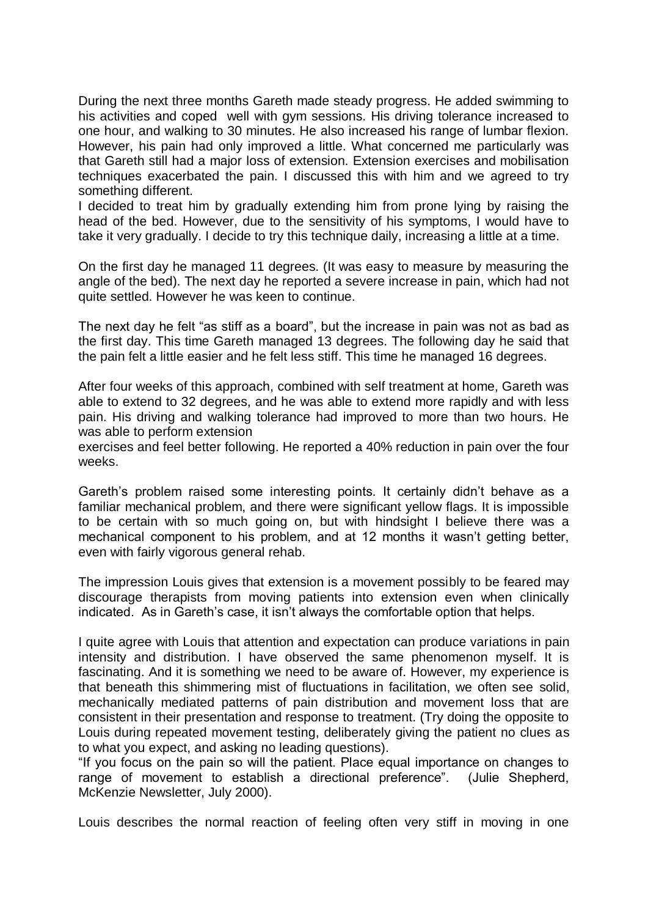During the next three months Gareth made steady progress. He added swimming to his activities and coped well with gym sessions. His driving tolerance increased to one hour, and walking to 30 minutes. He also increased his range of lumbar flexion. However, his pain had only improved a little. What concerned me particularly was that Gareth still had a major loss of extension. Extension exercises and mobilisation techniques exacerbated the pain. I discussed this with him and we agreed to try something different.

I decided to treat him by gradually extending him from prone lying by raising the head of the bed. However, due to the sensitivity of his symptoms, I would have to take it very gradually. I decide to try this technique daily, increasing a little at a time.

On the first day he managed 11 degrees. (It was easy to measure by measuring the angle of the bed). The next day he reported a severe increase in pain, which had not quite settled. However he was keen to continue.

The next day he felt "as stiff as a board", but the increase in pain was not as bad as the first day. This time Gareth managed 13 degrees. The following day he said that the pain felt a little easier and he felt less stiff. This time he managed 16 degrees.

After four weeks of this approach, combined with self treatment at home, Gareth was able to extend to 32 degrees, and he was able to extend more rapidly and with less pain. His driving and walking tolerance had improved to more than two hours. He was able to perform extension

exercises and feel better following. He reported a 40% reduction in pain over the four weeks.

Gareth's problem raised some interesting points. It certainly didn't behave as a familiar mechanical problem, and there were significant yellow flags. It is impossible to be certain with so much going on, but with hindsight I believe there was a mechanical component to his problem, and at 12 months it wasn't getting better, even with fairly vigorous general rehab.

The impression Louis gives that extension is a movement possibly to be feared may discourage therapists from moving patients into extension even when clinically indicated. As in Gareth's case, it isn't always the comfortable option that helps.

I quite agree with Louis that attention and expectation can produce variations in pain intensity and distribution. I have observed the same phenomenon myself. It is fascinating. And it is something we need to be aware of. However, my experience is that beneath this shimmering mist of fluctuations in facilitation, we often see solid, mechanically mediated patterns of pain distribution and movement loss that are consistent in their presentation and response to treatment. (Try doing the opposite to Louis during repeated movement testing, deliberately giving the patient no clues as to what you expect, and asking no leading questions).

"If you focus on the pain so will the patient. Place equal importance on changes to range of movement to establish a directional preference". (Julie Shepherd, McKenzie Newsletter, July 2000).

Louis describes the normal reaction of feeling often very stiff in moving in one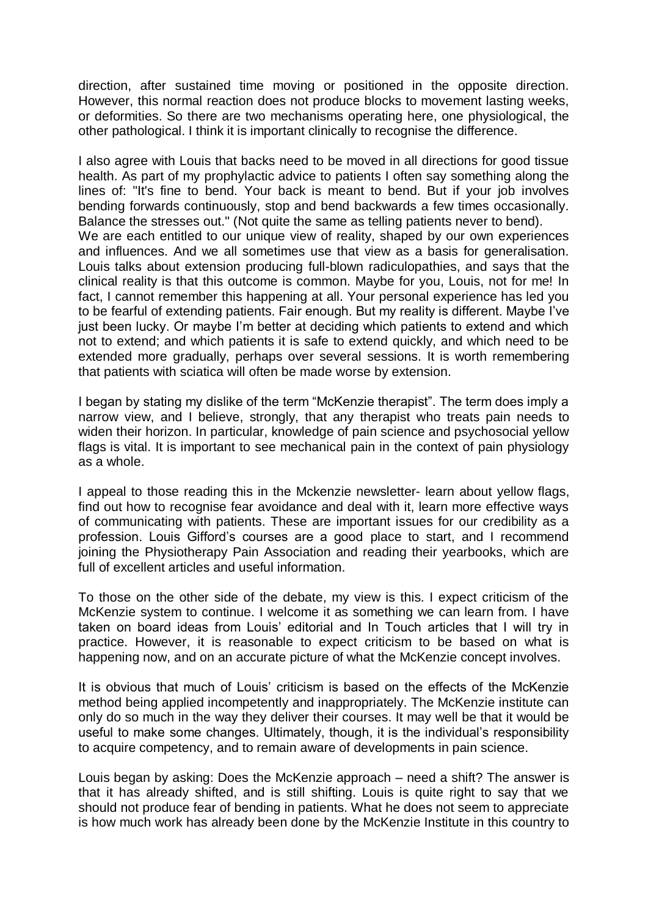direction, after sustained time moving or positioned in the opposite direction. However, this normal reaction does not produce blocks to movement lasting weeks, or deformities. So there are two mechanisms operating here, one physiological, the other pathological. I think it is important clinically to recognise the difference.

I also agree with Louis that backs need to be moved in all directions for good tissue health. As part of my prophylactic advice to patients I often say something along the lines of: "It's fine to bend. Your back is meant to bend. But if your job involves bending forwards continuously, stop and bend backwards a few times occasionally. Balance the stresses out." (Not quite the same as telling patients never to bend). We are each entitled to our unique view of reality, shaped by our own experiences and influences. And we all sometimes use that view as a basis for generalisation. Louis talks about extension producing full-blown radiculopathies, and says that the clinical reality is that this outcome is common. Maybe for you, Louis, not for me! In fact, I cannot remember this happening at all. Your personal experience has led you to be fearful of extending patients. Fair enough. But my reality is different. Maybe I've just been lucky. Or maybe I'm better at deciding which patients to extend and which not to extend; and which patients it is safe to extend quickly, and which need to be extended more gradually, perhaps over several sessions. It is worth remembering that patients with sciatica will often be made worse by extension.

I began by stating my dislike of the term "McKenzie therapist". The term does imply a narrow view, and I believe, strongly, that any therapist who treats pain needs to widen their horizon. In particular, knowledge of pain science and psychosocial yellow flags is vital. It is important to see mechanical pain in the context of pain physiology as a whole.

I appeal to those reading this in the Mckenzie newsletter- learn about yellow flags, find out how to recognise fear avoidance and deal with it, learn more effective ways of communicating with patients. These are important issues for our credibility as a profession. Louis Gifford's courses are a good place to start, and I recommend joining the Physiotherapy Pain Association and reading their yearbooks, which are full of excellent articles and useful information.

To those on the other side of the debate, my view is this. I expect criticism of the McKenzie system to continue. I welcome it as something we can learn from. I have taken on board ideas from Louis' editorial and In Touch articles that I will try in practice. However, it is reasonable to expect criticism to be based on what is happening now, and on an accurate picture of what the McKenzie concept involves.

It is obvious that much of Louis' criticism is based on the effects of the McKenzie method being applied incompetently and inappropriately. The McKenzie institute can only do so much in the way they deliver their courses. It may well be that it would be useful to make some changes. Ultimately, though, it is the individual's responsibility to acquire competency, and to remain aware of developments in pain science.

Louis began by asking: Does the McKenzie approach – need a shift? The answer is that it has already shifted, and is still shifting. Louis is quite right to say that we should not produce fear of bending in patients. What he does not seem to appreciate is how much work has already been done by the McKenzie Institute in this country to